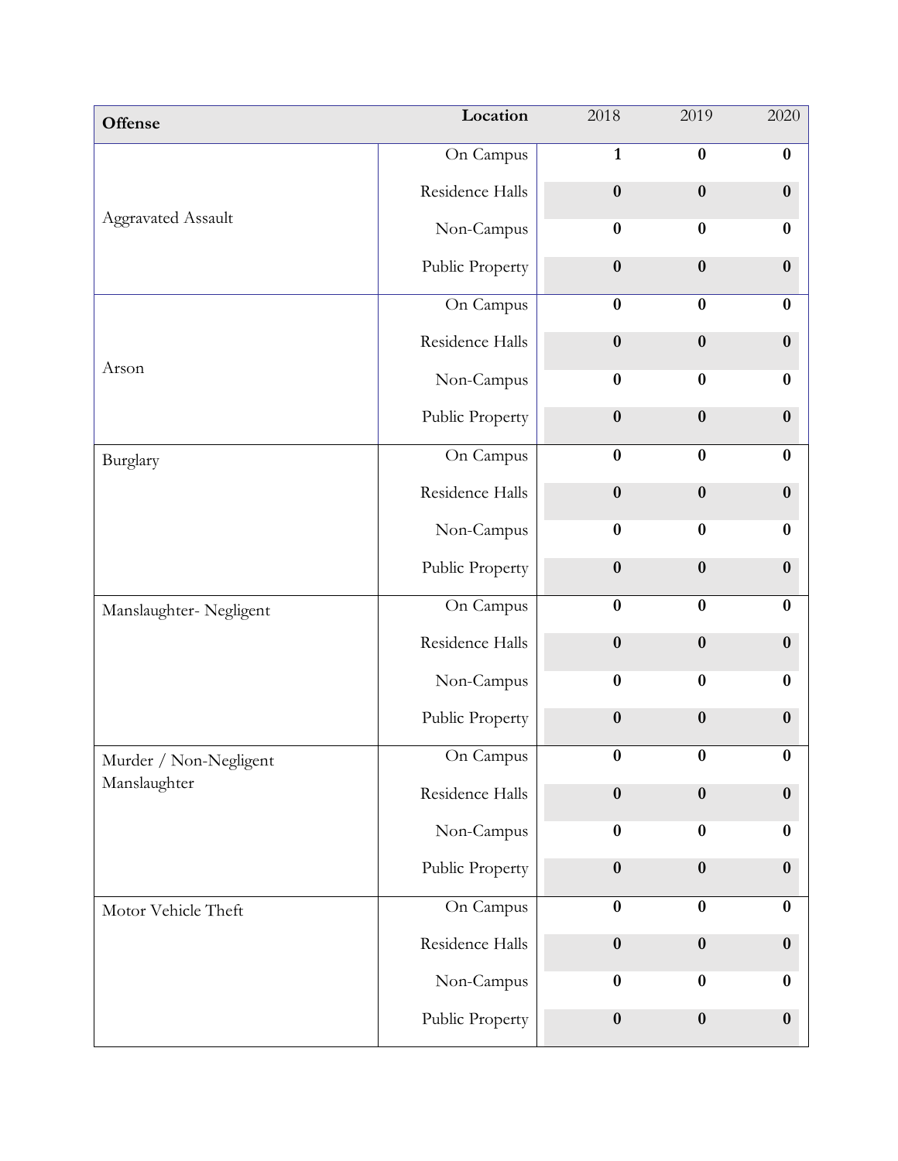| <b>Offense</b>            | Location        | 2018             | 2019             | 2020             |
|---------------------------|-----------------|------------------|------------------|------------------|
|                           | On Campus       | $\mathbf{1}$     | $\bf{0}$         | $\bf{0}$         |
|                           | Residence Halls | $\boldsymbol{0}$ | $\boldsymbol{0}$ | $\boldsymbol{0}$ |
| <b>Aggravated Assault</b> | Non-Campus      | $\bf{0}$         | $\bf{0}$         | $\bf{0}$         |
|                           | Public Property | $\boldsymbol{0}$ | $\bf{0}$         | $\bf{0}$         |
|                           | On Campus       | $\bf{0}$         | $\bf{0}$         | $\bf{0}$         |
|                           | Residence Halls | $\boldsymbol{0}$ | $\bf{0}$         | $\bf{0}$         |
| Arson                     | Non-Campus      | $\bf{0}$         | $\boldsymbol{0}$ | $\bf{0}$         |
|                           | Public Property | $\boldsymbol{0}$ | $\bf{0}$         | $\bf{0}$         |
| Burglary                  | On Campus       | $\bf{0}$         | $\boldsymbol{0}$ | $\bf{0}$         |
|                           | Residence Halls | $\boldsymbol{0}$ | $\boldsymbol{0}$ | $\bf{0}$         |
|                           | Non-Campus      | $\bf{0}$         | $\bf{0}$         | $\bf{0}$         |
|                           | Public Property | $\boldsymbol{0}$ | $\bf{0}$         | $\bf{0}$         |
| Manslaughter- Negligent   | On Campus       | $\bf{0}$         | $\bf{0}$         | $\bf{0}$         |
|                           | Residence Halls | $\boldsymbol{0}$ | $\bf{0}$         | $\boldsymbol{0}$ |
|                           | Non-Campus      | $\bf{0}$         | $\bf{0}$         | $\bf{0}$         |
|                           | Public Property | $\boldsymbol{0}$ | $\boldsymbol{0}$ | $\bf{0}$         |
| Murder / Non-Negligent    | On Campus       | $\bf{0}$         | $\bf{0}$         | $\bf{0}$         |
| Manslaughter              | Residence Halls | $\boldsymbol{0}$ | $\bf{0}$         | $\bf{0}$         |
|                           | Non-Campus      | $\bf{0}$         | $\bf{0}$         | $\bf{0}$         |
|                           | Public Property | $\boldsymbol{0}$ | $\boldsymbol{0}$ | $\boldsymbol{0}$ |
| Motor Vehicle Theft       | On Campus       | $\bf{0}$         | $\bf{0}$         | $\bf{0}$         |
|                           | Residence Halls | $\boldsymbol{0}$ | $\bf{0}$         | $\bf{0}$         |
|                           | Non-Campus      | $\bf{0}$         | $\bf{0}$         | $\bf{0}$         |
|                           | Public Property | $\boldsymbol{0}$ | $\bf{0}$         | $\bf{0}$         |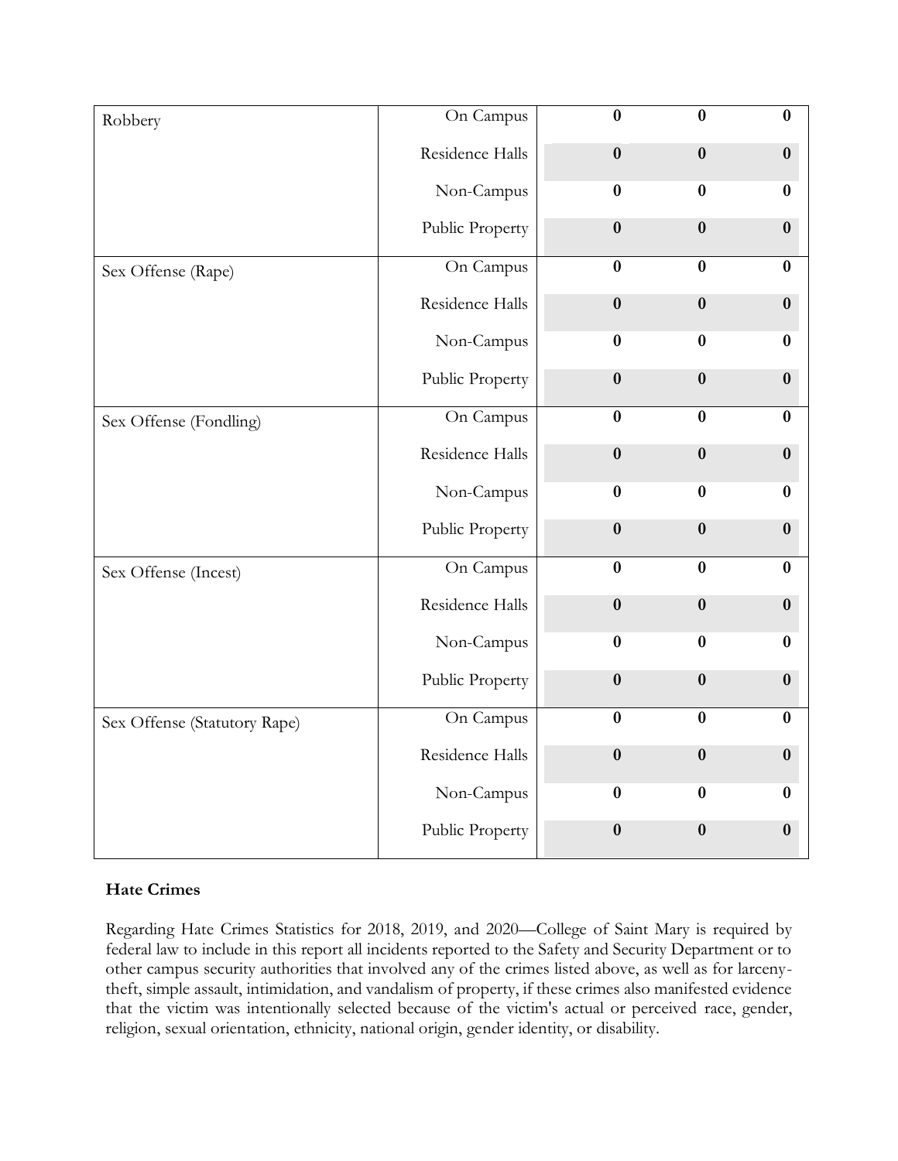| Robbery                      | On Campus       | $\bf{0}$ | $\bf{0}$ | $\bf{0}$         |
|------------------------------|-----------------|----------|----------|------------------|
|                              | Residence Halls | $\bf{0}$ | $\bf{0}$ | $\bf{0}$         |
|                              | Non-Campus      | $\bf{0}$ | $\bf{0}$ | $\bf{0}$         |
|                              | Public Property | $\bf{0}$ | $\bf{0}$ | $\bf{0}$         |
| Sex Offense (Rape)           | On Campus       | $\bf{0}$ | $\bf{0}$ | $\boldsymbol{0}$ |
|                              | Residence Halls | $\bf{0}$ | $\bf{0}$ | $\bf{0}$         |
|                              | Non-Campus      | $\bf{0}$ | $\bf{0}$ | $\bf{0}$         |
|                              | Public Property | $\bf{0}$ | $\bf{0}$ | $\bf{0}$         |
| Sex Offense (Fondling)       | On Campus       | $\bf{0}$ | $\bf{0}$ | $\bf{0}$         |
|                              | Residence Halls | $\bf{0}$ | $\bf{0}$ | $\bf{0}$         |
|                              | Non-Campus      | $\bf{0}$ | $\bf{0}$ | $\bf{0}$         |
|                              | Public Property | $\bf{0}$ | $\bf{0}$ | $\bf{0}$         |
| Sex Offense (Incest)         | On Campus       | $\bf{0}$ | $\bf{0}$ | $\boldsymbol{0}$ |
|                              | Residence Halls | $\bf{0}$ | $\bf{0}$ | $\bf{0}$         |
|                              | Non-Campus      | $\bf{0}$ | $\bf{0}$ | $\bf{0}$         |
|                              | Public Property | $\bf{0}$ | $\bf{0}$ | $\bf{0}$         |
| Sex Offense (Statutory Rape) | On Campus       | $\bf{0}$ | $\bf{0}$ | $\bf{0}$         |
|                              | Residence Halls | $\bf{0}$ | $\bf{0}$ | $\bf{0}$         |
|                              | Non-Campus      | $\bf{0}$ | $\bf{0}$ | $\bf{0}$         |
|                              | Public Property | $\bf{0}$ | $\bf{0}$ | $\bf{0}$         |

### **Hate Crimes**

Regarding Hate Crimes Statistics for 2018, 2019, and 2020—College of Saint Mary is required by federal law to include in this report all incidents reported to the Safety and Security Department or to other campus security authorities that involved any of the crimes listed above, as well as for larcenytheft, simple assault, intimidation, and vandalism of property, if these crimes also manifested evidence that the victim was intentionally selected because of the victim's actual or perceived race, gender, religion, sexual orientation, ethnicity, national origin, gender identity, or disability.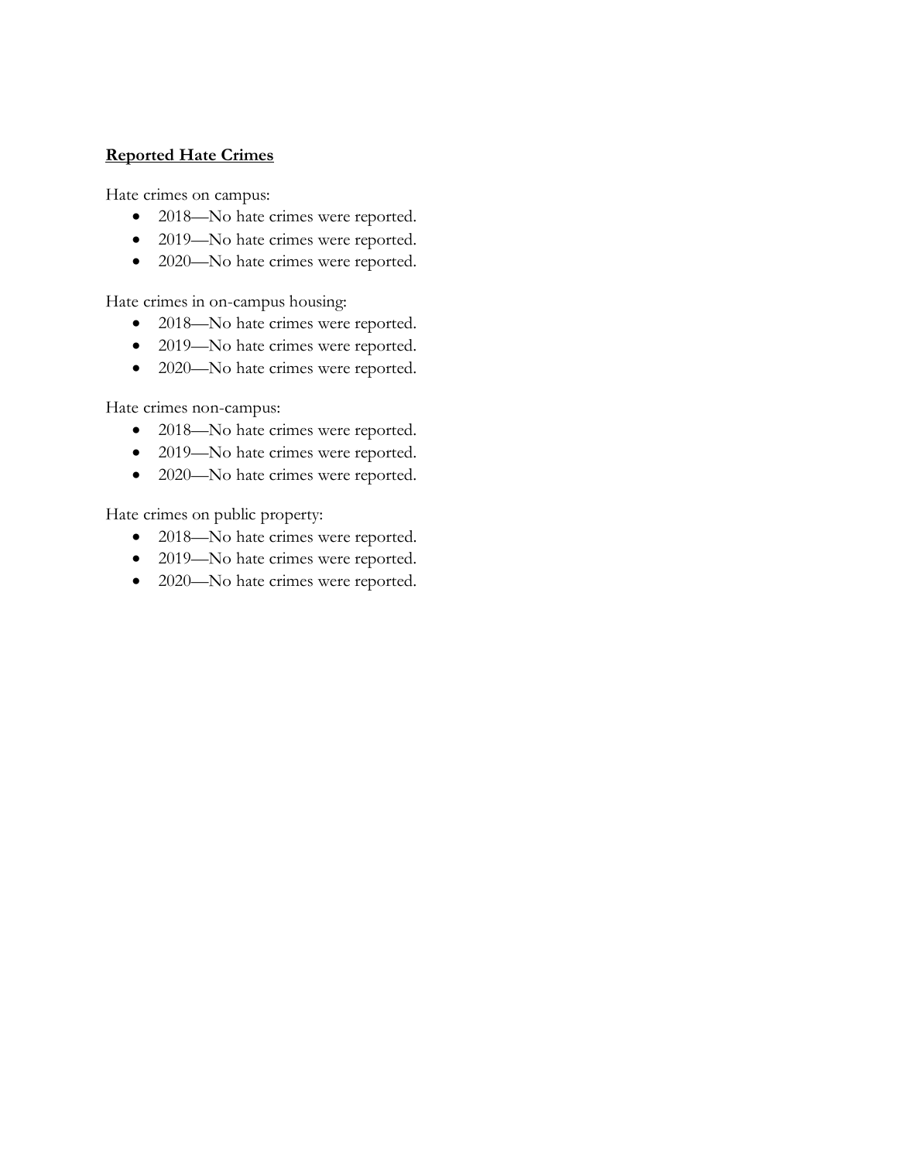#### **Reported Hate Crimes**

Hate crimes on campus:

- 2018—No hate crimes were reported.
- 2019—No hate crimes were reported.
- 2020—No hate crimes were reported.

Hate crimes in on-campus housing:

- 2018—No hate crimes were reported.
- 2019—No hate crimes were reported.
- 2020—No hate crimes were reported.

Hate crimes non-campus:

- 2018—No hate crimes were reported.
- 2019—No hate crimes were reported.
- 2020—No hate crimes were reported.

Hate crimes on public property:

- 2018—No hate crimes were reported.
- 2019—No hate crimes were reported.
- 2020—No hate crimes were reported.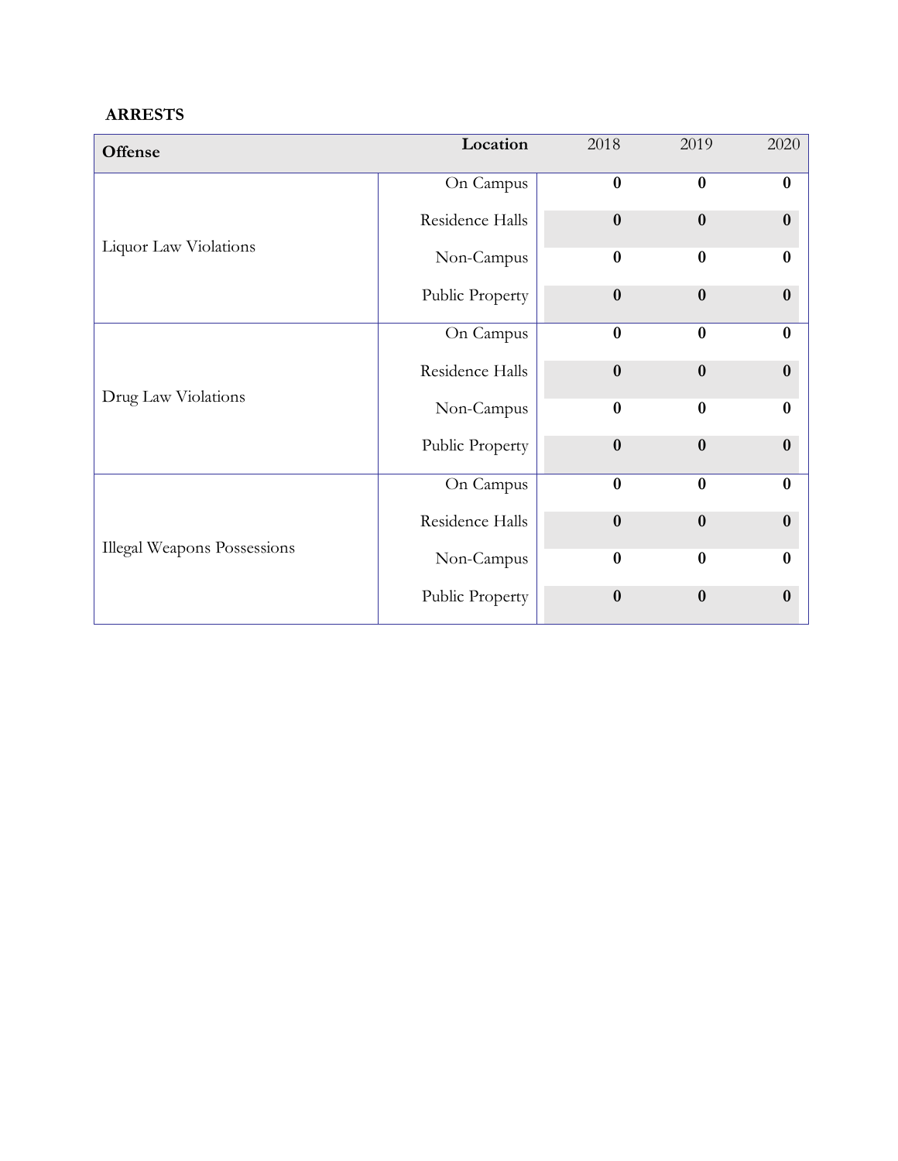### **ARRESTS**

| Offense                            | Location        | 2018     | 2019     | 2020             |
|------------------------------------|-----------------|----------|----------|------------------|
| Liquor Law Violations              | On Campus       | $\bf{0}$ | $\bf{0}$ | $\bf{0}$         |
|                                    | Residence Halls | $\bf{0}$ | $\bf{0}$ | $\bf{0}$         |
|                                    | Non-Campus      | $\bf{0}$ | $\bf{0}$ | $\bf{0}$         |
|                                    | Public Property | $\bf{0}$ | $\bf{0}$ | $\boldsymbol{0}$ |
| Drug Law Violations                | On Campus       | $\bf{0}$ | $\bf{0}$ | $\bf{0}$         |
|                                    | Residence Halls | $\bf{0}$ | $\bf{0}$ | $\bf{0}$         |
|                                    | Non-Campus      | $\bf{0}$ | $\bf{0}$ | $\boldsymbol{0}$ |
|                                    | Public Property | $\bf{0}$ | $\bf{0}$ | $\bf{0}$         |
| <b>Illegal Weapons Possessions</b> | On Campus       | $\bf{0}$ | $\bf{0}$ | $\bf{0}$         |
|                                    | Residence Halls | $\bf{0}$ | $\bf{0}$ | $\bf{0}$         |
|                                    | Non-Campus      | $\bf{0}$ | $\bf{0}$ | $\bf{0}$         |
|                                    | Public Property | $\bf{0}$ | $\bf{0}$ | $\bf{0}$         |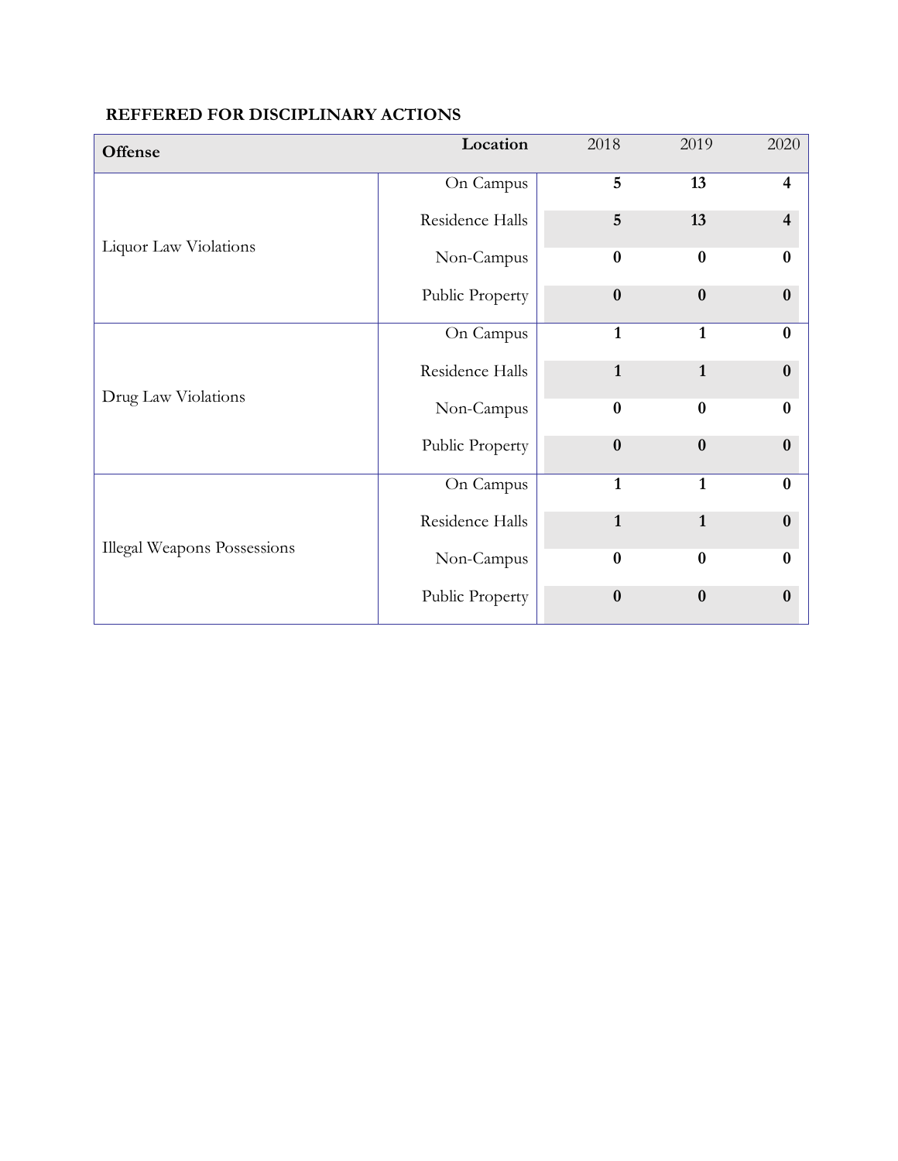| Offense                            | Location        | 2018             | 2019             | 2020                    |
|------------------------------------|-----------------|------------------|------------------|-------------------------|
| Liquor Law Violations              | On Campus       | 5                | 13               | $\overline{\mathbf{4}}$ |
|                                    | Residence Halls | 5                | 13               | $\overline{\mathbf{4}}$ |
|                                    | Non-Campus      | $\bf{0}$         | $\bf{0}$         | $\bf{0}$                |
|                                    | Public Property | $\boldsymbol{0}$ | $\bf{0}$         | $\bf{0}$                |
| Drug Law Violations                | On Campus       | $\mathbf{1}$     | $\mathbf{1}$     | $\bf{0}$                |
|                                    | Residence Halls | $\mathbf{1}$     | $\mathbf{1}$     | $\bf{0}$                |
|                                    | Non-Campus      | $\bf{0}$         | $\bf{0}$         | $\bf{0}$                |
|                                    | Public Property | $\boldsymbol{0}$ | $\boldsymbol{0}$ | $\boldsymbol{0}$        |
| <b>Illegal Weapons Possessions</b> | On Campus       | $\mathbf{1}$     | $\mathbf{1}$     | $\bf{0}$                |
|                                    | Residence Halls | $\mathbf{1}$     | $\mathbf{1}$     | $\bf{0}$                |
|                                    | Non-Campus      | $\bf{0}$         | $\bf{0}$         | $\bf{0}$                |
|                                    | Public Property | $\bf{0}$         | $\bf{0}$         | $\bf{0}$                |

## **REFFERED FOR DISCIPLINARY ACTIONS**